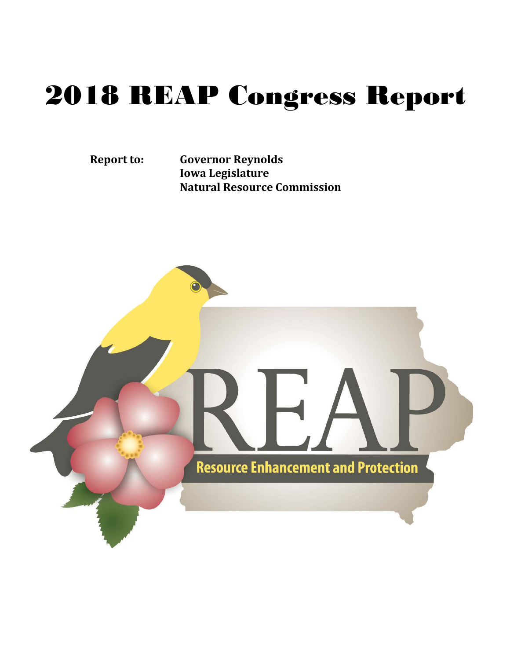# 2018 REAP Congress Report

**Report to: Governor Reynolds Iowa Legislature Natural Resource Commission**

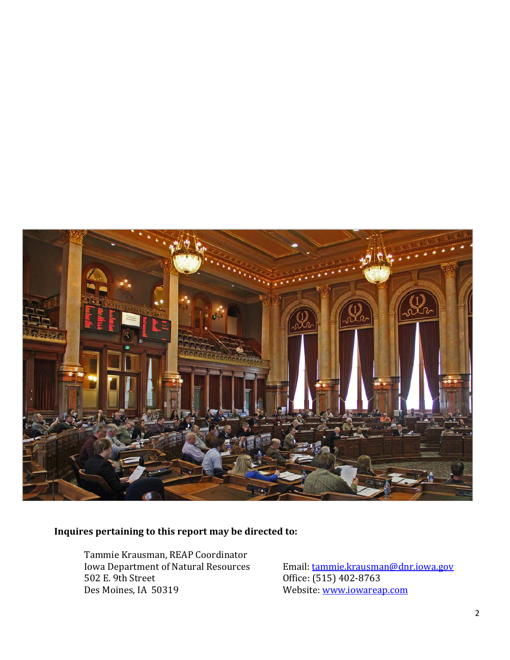

#### **Inquires pertaining to this report may be directed to:**

Tammie Krausman, REAP Coordinator Iowa Department of Natural Resources 502 E. 9th Street Des Moines, IA 50319

Email[: tammie.krausman@dnr.iowa.gov](mailto:tammie.krausman@dnr.iowa.gov) Office: (515) 402-8763 Website: [www.iowareap.com](http://www.iowareap.com/)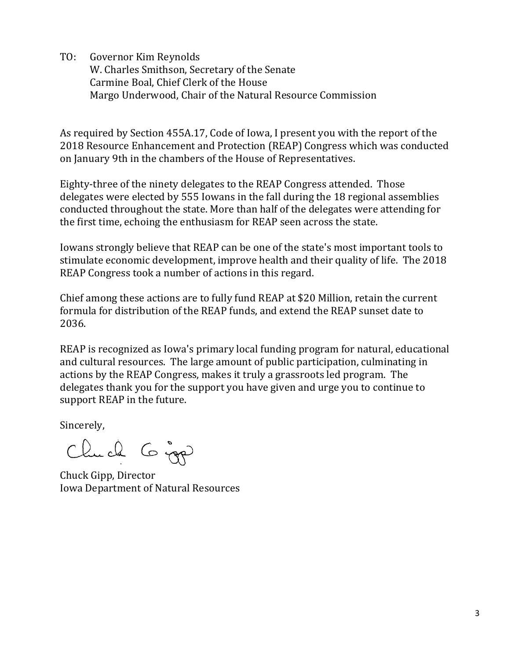TO: Governor Kim Reynolds W. Charles Smithson, Secretary of the Senate Carmine Boal, Chief Clerk of the House Margo Underwood, Chair of the Natural Resource Commission

As required by Section 455A.17, Code of Iowa, I present you with the report of the 2018 Resource Enhancement and Protection (REAP) Congress which was conducted on January 9th in the chambers of the House of Representatives.

Eighty-three of the ninety delegates to the REAP Congress attended. Those delegates were elected by 555 Iowans in the fall during the 18 regional assemblies conducted throughout the state. More than half of the delegates were attending for the first time, echoing the enthusiasm for REAP seen across the state.

Iowans strongly believe that REAP can be one of the state's most important tools to stimulate economic development, improve health and their quality of life. The 2018 REAP Congress took a number of actions in this regard.

Chief among these actions are to fully fund REAP at \$20 Million, retain the current formula for distribution of the REAP funds, and extend the REAP sunset date to 2036.

REAP is recognized as Iowa's primary local funding program for natural, educational and cultural resources. The large amount of public participation, culminating in actions by the REAP Congress, makes it truly a grassroots led program. The delegates thank you for the support you have given and urge you to continue to support REAP in the future.

Sincerely,

Clude 6 jours

Chuck Gipp, Director Iowa Department of Natural Resources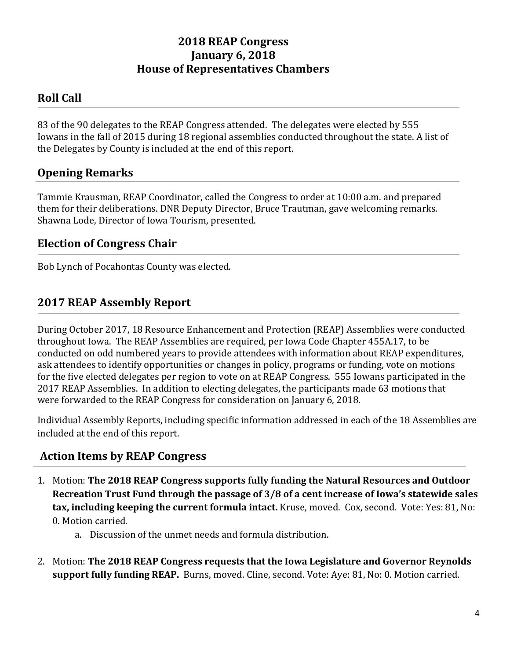# **2018 REAP Congress January 6, 2018 House of Representatives Chambers**

# **Roll Call**

83 of the 90 delegates to the REAP Congress attended. The delegates were elected by 555 Iowans in the fall of 2015 during 18 regional assemblies conducted throughout the state. A list of the Delegates by County is included at the end of this report.

## **Opening Remarks**

Tammie Krausman, REAP Coordinator, called the Congress to order at 10:00 a.m. and prepared them for their deliberations. DNR Deputy Director, Bruce Trautman, gave welcoming remarks. Shawna Lode, Director of Iowa Tourism, presented.

### **Election of Congress Chair**

Bob Lynch of Pocahontas County was elected.

# **2017 REAP Assembly Report**

During October 2017, 18 Resource Enhancement and Protection (REAP) Assemblies were conducted throughout Iowa. The REAP Assemblies are required, per Iowa Code Chapter 455A.17, to be conducted on odd numbered years to provide attendees with information about REAP expenditures, ask attendees to identify opportunities or changes in policy, programs or funding, vote on motions for the five elected delegates per region to vote on at REAP Congress. 555 Iowans participated in the 2017 REAP Assemblies. In addition to electing delegates, the participants made 63 motions that were forwarded to the REAP Congress for consideration on January 6, 2018.

Individual Assembly Reports, including specific information addressed in each of the 18 Assemblies are included at the end of this report.

#### **Action Items by REAP Congress**

- 1. Motion: **The 2018 REAP Congress supports fully funding the Natural Resources and Outdoor Recreation Trust Fund through the passage of 3/8 of a cent increase of Iowa's statewide sales tax, including keeping the current formula intact.** Kruse, moved. Cox, second. Vote: Yes: 81, No: 0. Motion carried.
	- a. Discussion of the unmet needs and formula distribution.
- 2. Motion: **The 2018 REAP Congress requests that the Iowa Legislature and Governor Reynolds support fully funding REAP.** Burns, moved. Cline, second. Vote: Aye: 81, No: 0. Motion carried.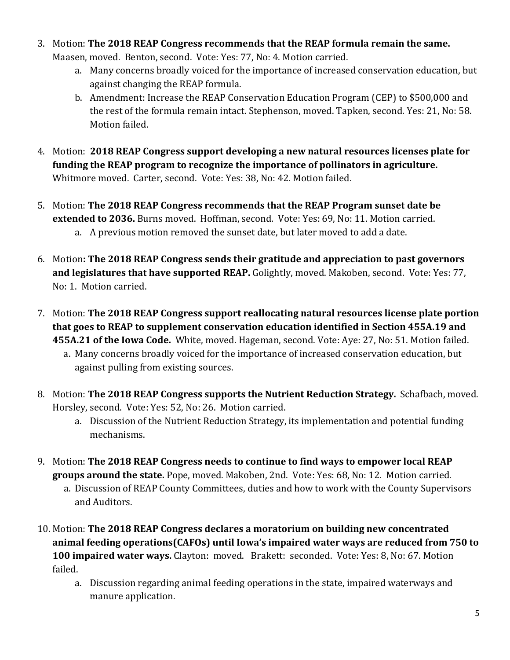3. Motion: **The 2018 REAP Congress recommends that the REAP formula remain the same.**

Maasen, moved. Benton, second. Vote: Yes: 77, No: 4. Motion carried.

- a. Many concerns broadly voiced for the importance of increased conservation education, but against changing the REAP formula.
- b. Amendment: Increase the REAP Conservation Education Program (CEP) to \$500,000 and the rest of the formula remain intact. Stephenson, moved. Tapken, second. Yes: 21, No: 58. Motion failed.
- 4. Motion: **2018 REAP Congress support developing a new natural resources licenses plate for funding the REAP program to recognize the importance of pollinators in agriculture.** Whitmore moved. Carter, second. Vote: Yes: 38, No: 42. Motion failed.
- 5. Motion: **The 2018 REAP Congress recommends that the REAP Program sunset date be extended to 2036.** Burns moved. Hoffman, second. Vote: Yes: 69, No: 11. Motion carried. a. A previous motion removed the sunset date, but later moved to add a date.
- 6. Motion**: The 2018 REAP Congress sends their gratitude and appreciation to past governors and legislatures that have supported REAP.** Golightly, moved. Makoben, second. Vote: Yes: 77, No: 1. Motion carried.
- 7. Motion: **The 2018 REAP Congress support reallocating natural resources license plate portion that goes to REAP to supplement conservation education identified in Section 455A.19 and 455A.21 of the Iowa Code.** White, moved. Hageman, second. Vote: Aye: 27, No: 51. Motion failed. a. Many concerns broadly voiced for the importance of increased conservation education, but
	- against pulling from existing sources.
- 8. Motion: **The 2018 REAP Congress supports the Nutrient Reduction Strategy.** Schafbach, moved. Horsley, second. Vote: Yes: 52, No: 26. Motion carried.
	- a. Discussion of the Nutrient Reduction Strategy, its implementation and potential funding mechanisms.
- 9. Motion: **The 2018 REAP Congress needs to continue to find ways to empower local REAP groups around the state.** Pope, moved. Makoben, 2nd. Vote: Yes: 68, No: 12. Motion carried.
	- a. Discussion of REAP County Committees, duties and how to work with the County Supervisors and Auditors.
- 10. Motion: **The 2018 REAP Congress declares a moratorium on building new concentrated animal feeding operations(CAFOs) until Iowa's impaired water ways are reduced from 750 to 100 impaired water ways.** Clayton: moved. Brakett: seconded. Vote: Yes: 8, No: 67. Motion failed.
	- a. Discussion regarding animal feeding operations in the state, impaired waterways and manure application.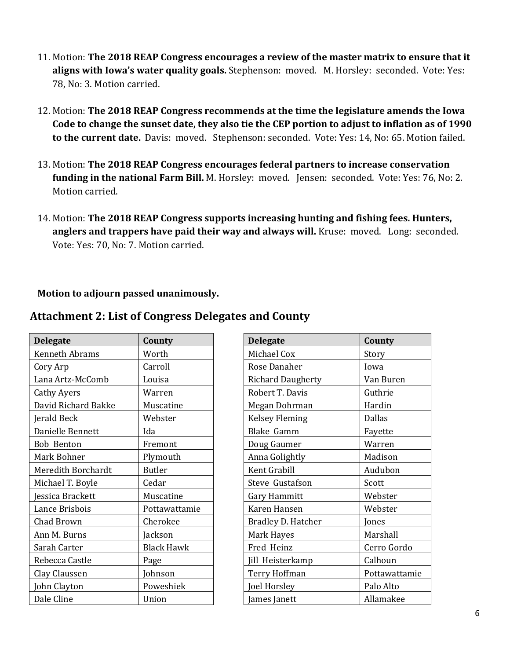- 11. Motion: **The 2018 REAP Congress encourages a review of the master matrix to ensure that it aligns with Iowa's water quality goals.** Stephenson: moved. M. Horsley: seconded. Vote: Yes: 78, No: 3. Motion carried.
- 12. Motion: **The 2018 REAP Congress recommends at the time the legislature amends the Iowa Code to change the sunset date, they also tie the CEP portion to adjust to inflation as of 1990 to the current date.** Davis: moved. Stephenson: seconded. Vote: Yes: 14, No: 65. Motion failed.
- 13. Motion: **The 2018 REAP Congress encourages federal partners to increase conservation funding in the national Farm Bill.** M. Horsley: moved. Jensen: seconded. Vote: Yes: 76, No: 2. Motion carried.
- 14. Motion: **The 2018 REAP Congress supports increasing hunting and fishing fees. Hunters, anglers and trappers have paid their way and always will.** Kruse: moved. Long: seconded. Vote: Yes: 70, No: 7. Motion carried.

#### **Motion to adjourn passed unanimously.**

| <b>Delegate</b>       | County            | <b>Delegate</b>          | County        |
|-----------------------|-------------------|--------------------------|---------------|
| <b>Kenneth Abrams</b> | Worth             | Michael Cox              | Story         |
| Cory Arp              | Carroll           | Rose Danaher             | Iowa          |
| Lana Artz-McComb      | Louisa            | <b>Richard Daugherty</b> | Van Buren     |
| <b>Cathy Ayers</b>    | Warren            | Robert T. Davis          | Guthrie       |
| David Richard Bakke   | Muscatine         | Megan Dohrman            | Hardin        |
| Jerald Beck           | Webster           | <b>Kelsey Fleming</b>    | <b>Dallas</b> |
| Danielle Bennett      | Ida               | Blake Gamm               | Fayette       |
| <b>Bob Benton</b>     | Fremont           | Doug Gaumer              | Warren        |
| Mark Bohner           | Plymouth          | Anna Golightly           | Madison       |
| Meredith Borchardt    | <b>Butler</b>     | Kent Grabill             | Audubon       |
| Michael T. Boyle      | Cedar             | Steve Gustafson          | Scott         |
| essica Brackett       | Muscatine         | Gary Hammitt             | Webster       |
| Lance Brisbois        | Pottawattamie     | Karen Hansen             | Webster       |
| Chad Brown            | Cherokee          | Bradley D. Hatcher       | Jones         |
| Ann M. Burns          | Jackson           | Mark Hayes               | Marshall      |
| Sarah Carter          | <b>Black Hawk</b> | Fred Heinz               | Cerro Gordo   |
| Rebecca Castle        | Page              | Jill Heisterkamp         | Calhoun       |
| Clay Claussen         | Johnson           | Terry Hoffman            | Pottawattamie |
| John Clayton          | Poweshiek         | Joel Horsley             | Palo Alto     |
| Dale Cline            | Union             | James Janett             | Allamakee     |
|                       |                   |                          |               |

| <b>Attachment 2: List of Congress Delegates and County</b> |  |
|------------------------------------------------------------|--|
|                                                            |  |

| <b>Delegate</b>           | County        |  |  |
|---------------------------|---------------|--|--|
| Michael Cox               | Story         |  |  |
| Rose Danaher              | Iowa          |  |  |
| <b>Richard Daugherty</b>  | Van Buren     |  |  |
| Robert T. Davis           | Guthrie       |  |  |
| Megan Dohrman             | Hardin        |  |  |
| <b>Kelsey Fleming</b>     | <b>Dallas</b> |  |  |
| <b>Blake Gamm</b>         | Fayette       |  |  |
| Doug Gaumer               | Warren        |  |  |
| Anna Golightly            | Madison       |  |  |
| Kent Grabill              | Audubon       |  |  |
| Steve Gustafson           | Scott         |  |  |
| Gary Hammitt              | Webster       |  |  |
| Karen Hansen              | Webster       |  |  |
| <b>Bradley D. Hatcher</b> | Jones         |  |  |
| Mark Hayes                | Marshall      |  |  |
| Fred Heinz                | Cerro Gordo   |  |  |
| Jill Heisterkamp          | Calhoun       |  |  |
| Terry Hoffman             | Pottawattamie |  |  |
| Joel Horsley              | Palo Alto     |  |  |
| James Janett              | Allamakee     |  |  |